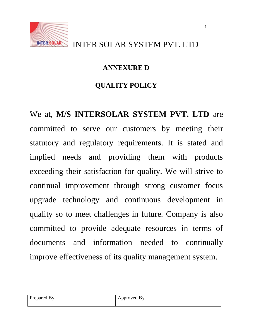

1

#### **ANNEXURE D**

## **QUALITY POLICY**

We at, **M/S INTERSOLAR SYSTEM PVT. LTD** are committed to serve our customers by meeting their statutory and regulatory requirements. It is stated and implied needs and providing them with products exceeding their satisfaction for quality. We will strive to continual improvement through strong customer focus upgrade technology and continuous development in quality so to meet challenges in future. Company is also committed to provide adequate resources in terms of documents and information needed to continually improve effectiveness of its quality management system.

| Prepared By | Approved By |
|-------------|-------------|
|             |             |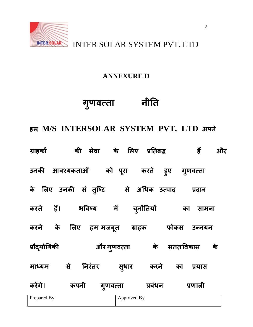

#### **ANNEXURE D**

## **ग ु णवत्ता नीतत**

**हभ, M/S INTERSOLAR SYSTEM PVT. LTD अऩने**

| ग्राहकों                     | की सेवा के लिए प्रतिबद्ध |             |                | हैं          | और |
|------------------------------|--------------------------|-------------|----------------|--------------|----|
| उनकी आवश्यकताओं को पूरा करते |                          |             | हूए            | गुणवत्ता     |    |
| के लिए उनकी सं तुष्टि        |                          |             | से अधिक उत्पाद | प्रदान       |    |
| हैं।<br>करते                 | भविष्य                   | में         | चूनौतियों      | का<br>सामना  |    |
| के<br>करने                   | लिए<br>हम मजब्त          | ग्राहक      | फोकस           | उन्नयन       |    |
| प्रौद्योगिकी                 | और गुणवत्ता              |             | के             | सतत विकास    | के |
| से<br>माध्यम                 | निरंतर                   | सुधार       | करने           | का<br>प्रयास |    |
| करेंगे।                      | कंपनी<br>गूणवत्ता        |             | प्रबंधन        | प्रणाली      |    |
| Prepared By                  |                          | Approved By |                |              |    |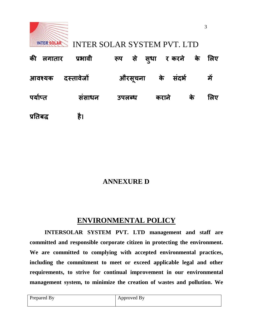

|                   | की लगातार प्रभावी | रूप से स् <b>धा र</b> करने के लिए |                   |    |      |
|-------------------|-------------------|-----------------------------------|-------------------|----|------|
| आवश्यक दस्तावेजों |                   |                                   | औरसूचना के संदर्भ |    | ्में |
| पर्याप्त          | संसाधन            | <b>उपलब्ध</b>                     | कराने             | के | लिए  |
| प्रतिबद्ध         | है।               |                                   |                   |    |      |

#### **ANNEXURE D**

#### **ENVIRONMENTAL POLICY**

**INTERSOLAR SYSTEM PVT. LTD management and staff are committed and responsible corporate citizen in protecting the environment. We are committed to complying with accepted environmental practices, including the commitment to meet or exceed applicable legal and other requirements, to strive for continual improvement in our environmental management system, to minimize the creation of wastes and pollution. We** 

| Prepared By | Approved By |
|-------------|-------------|
|             |             |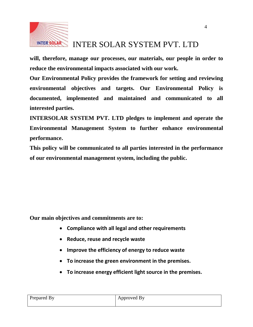

**will, therefore, manage our processes, our materials, our people in order to reduce the environmental impacts associated with our work.** 

**Our Environmental Policy provides the framework for setting and reviewing environmental objectives and targets. Our Environmental Policy is documented, implemented and maintained and communicated to all interested parties.** 

**INTERSOLAR SYSTEM PVT. LTD pledges to implement and operate the Environmental Management System to further enhance environmental performance.** 

**This policy will be communicated to all parties interested in the performance of our environmental management system, including the public.**

**Our main objectives and commitments are to:** 

- **Compliance with all legal and other requirements**
- **Reduce, reuse and recycle waste**
- **Improve the efficiency of energy to reduce waste**
- **To increase the green environment in the premises.**
- **To increase energy efficient light source in the premises.**

| $\sqrt{ }$<br>Prepared By | Approved By |
|---------------------------|-------------|
|                           |             |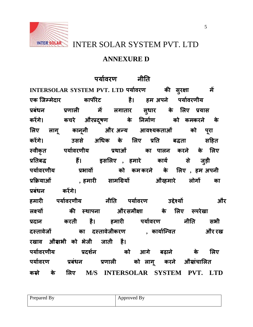

# INTER SOLAR SOLAR SYSTEM PVT. LTD

#### **ANNEXURE D**

### **ऩमाभवयण नीतत**

**INTERSOLAR SYSTEM PVT. LTD ऩमाभवयण की सुयऺा भें एक ष्जम्भेदाय काऩोयेि है। हभ अऩने ऩमाभवयणीम प्रफंधन प्रणारी भें रगाताय सु धाय के लरए प्रमास कयेंगे। कचये औयप्रदष ू ण के तनभाभण को कभकयने के लरए राग ू कान ू नी औय अन्म आवश्मकताओं को ऩ ूया कयेंगे। उससे अधधक के लरए प्रतत फद्धता सहहत स्वीक ृत ऩमाभवयणीम प्रथाओं का ऩारन कयने के लरए प्रततफद्ध हैं। इसलरए , हभाये कामभ से ज ुडी ऩमाभवयणीम प्रबावों को कभ कयने के लरए , हभ अऩनी प्रक्रिमाओं , हभायी साभधग्रमों औयहभाये रोगों का प्रफंधन कयेंगे।**

**हभायी ऩमाभवयणीम नीतत ऩमाभवयण उद्देश्मों औय रक्ष्मों की स्थाऩना औयसभीऺा के लरए रूऩयेखा प्रदान कयती है। हभायी ऩमाभवयण नीतत सबी दस्तावेजों का दस्तावेजीकयण , कामाभष्न्वत औय यख-यखाव औयसबी को बेजी जाती है। ऩमाभवयणीम प्रदर्नभ को आगे फढाने के लरए ऩमाभवयण प्रफंधन प्रणारी को राग ू कयने औयसंचालरत कयने के लरए M/S INTERSOLAR SYSTEM PVT. LTD**

| Prepared By | Approved By |
|-------------|-------------|
|             |             |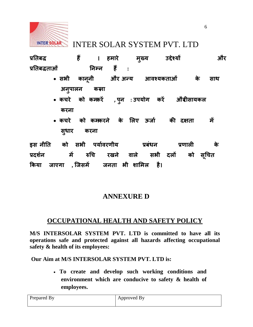

**प्रततफद्ध हैं । हभाये भ** मुख्य **ख्म उद्देश्मों औय प्रततफद्धताओं तनम्न हैं :**

- **सबी कान ू नी औय अन्म आवश्मकताओं के साथ अन ु ऩारन कयना**
- **कचये को कभकयें , ऩ ु न : उऩमोग कयें औय ीसामकर कयना**
- **कचये को कभकयने के लरए ऊजाभ की दऺता भें सु धाय कयना**

**इस नीतत को सबी ऩमाभवयणीम प्रफंधन प्रणारी के प्रदर्नभ भें रुधच यखने वारे सबी दरों को सू धचत क्रकमा जाएगा , ष्जसभें जनता बी र्ालभर है।**

#### **ANNEXURE D**

#### **OCCUPATIONAL HEALTH AND SAFETY POLICY**

**M/S INTERSOLAR SYSTEM PVT. LTD is committed to have all its operations safe and protected against all hazards affecting occupational safety & health of its employees:**

**Our Aim at M/S INTERSOLAR SYSTEM PVT. LTD is:**

 **To create and develop such working conditions and environment which are conducive to safety & health of employees.**

| Prepared By | Approved By |
|-------------|-------------|
|             |             |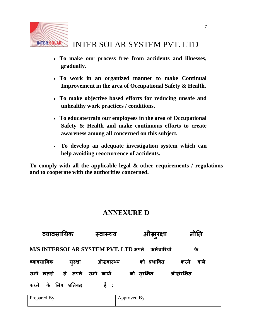

- **To make our process free from accidents and illnesses, gradually.**
- **To work in an organized manner to make Continual Improvement in the area of Occupational Safety & Health.**
- **To make objective based efforts for reducing unsafe and unhealthy work practices / conditions.**
- **To educate/train our employees in the area of Occupational Safety & Health and make continuous efforts to create awareness among all concerned on this subject.**
- **To develop an adequate investigation system which can help avoiding reoccurrence of accidents.**

**To comply with all the applicable legal & other requirements / regulations and to cooperate with the authorities concerned.**

#### **ANNEXURE D**

| व्यावसायिक                          |         | स्वास्थ्य    | औस्सुरक्षा  | नीति         |
|-------------------------------------|---------|--------------|-------------|--------------|
| M/S INTERSOLAR SYSTEM PVT. LTD अपने |         |              | कर्मचारियों | के           |
| व्यावसायिक                          | सुरक्षा | औस्त्वास्थ्य | को प्रभावित | वाले<br>करने |
| सभी खतरों से अपने सभी कार्यों       |         |              | को सुरक्षित | औसंरक्षित    |
| करने के लिए प्रतिबद्ध               |         | हैं :        |             |              |

| Prepared By | Approved By |
|-------------|-------------|
|             |             |